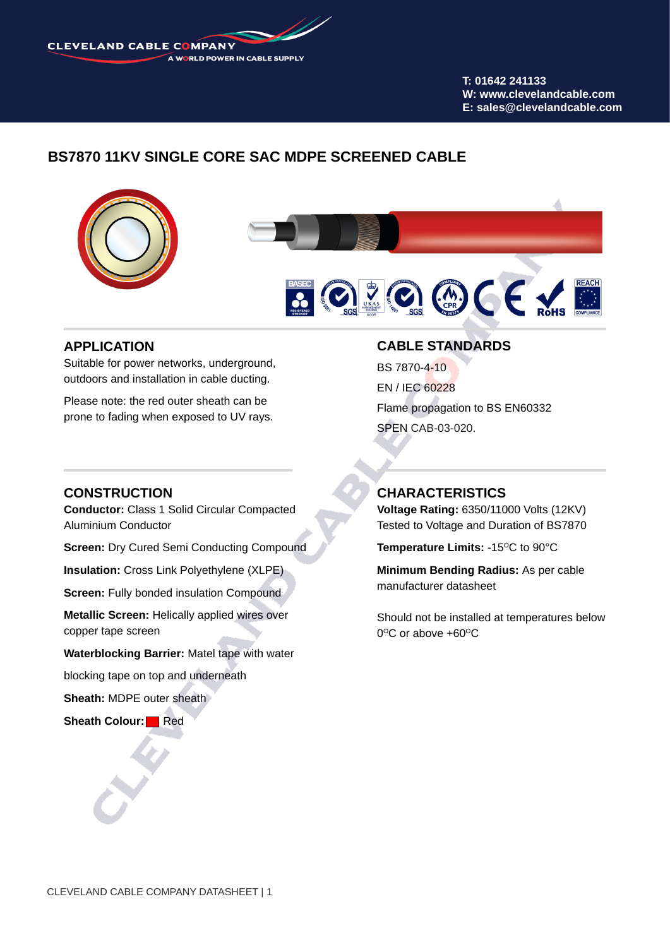CLEVELAND CABLE COMPANY A WORLD POWER IN CABLE SUPPLY

> **T: 01642 241133 W: www.clevelandcable.com E: sales@clevelandcable.com**

# **BS7870 11KV SINGLE CORE SAC MDPE SCREENED CABLE**



### **APPLICATION**

Suitable for power networks, underground, outdoors and installation in cable ducting.

Please note: the red outer sheath can be prone to fading when exposed to UV rays.

### **CONSTRUCTION**

**Conductor:** Class 1 Solid Circular Compacted Aluminium Conductor

**Screen: Dry Cured Semi Conducting Compound** 

**Insulation:** Cross Link Polyethylene (XLPE)

**Screen: Fully bonded insulation Compound** 

**Metallic Screen:** Helically applied wires over copper tape screen

**Waterblocking Barrier:** Matel tape with water

blocking tape on top and underneath

**Sheath:** MDPE outer sheath

**Sheath Colour:** Red

### **CABLE STANDARDS**

BS 7870-4-10 EN / IEC 60228 Flame propagation to BS EN60332 SPEN CAB-03-020.

### **CHARACTERISTICS**

**Voltage Rating:** 6350/11000 Volts (12KV) Tested to Voltage and Duration of BS7870

**Temperature Limits: -15°C to 90°C** 

**Minimum Bending Radius:** As per cable manufacturer datasheet

Should not be installed at temperatures below  $0^{\circ}$ C or above +60 $^{\circ}$ C